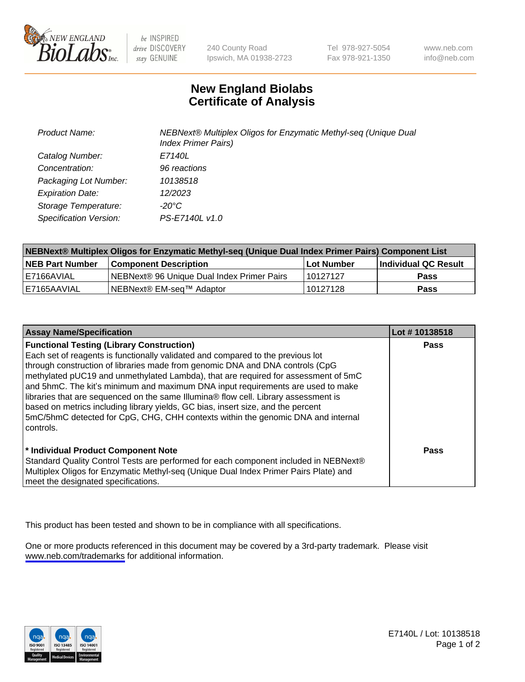

be INSPIRED drive DISCOVERY stay GENUINE

240 County Road Ipswich, MA 01938-2723 Tel 978-927-5054 Fax 978-921-1350

www.neb.com info@neb.com

## **New England Biolabs Certificate of Analysis**

| <b>Product Name:</b>    | NEBNext® Multiplex Oligos for Enzymatic Methyl-seq (Unique Dual<br><b>Index Primer Pairs)</b> |
|-------------------------|-----------------------------------------------------------------------------------------------|
| Catalog Number:         | E7140L                                                                                        |
| Concentration:          | 96 reactions                                                                                  |
| Packaging Lot Number:   | 10138518                                                                                      |
| <b>Expiration Date:</b> | 12/2023                                                                                       |
| Storage Temperature:    | -20°C                                                                                         |
| Specification Version:  | PS-E7140L v1.0                                                                                |

| NEBNext® Multiplex Oligos for Enzymatic Methyl-seq (Unique Dual Index Primer Pairs) Component List |                                                   |            |                      |  |
|----------------------------------------------------------------------------------------------------|---------------------------------------------------|------------|----------------------|--|
| <b>NEB Part Number</b>                                                                             | <b>Component Description</b>                      | Lot Number | Individual QC Result |  |
| I E7166AVIAL                                                                                       | <b>NEBNext® 96 Unique Dual Index Primer Pairs</b> | 10127127   | <b>Pass</b>          |  |
| E7165AAVIAL                                                                                        | NEBNext® EM-seq™ Adaptor                          | 10127128   | <b>Pass</b>          |  |

| <b>Assay Name/Specification</b>                                                      | Lot #10138518 |
|--------------------------------------------------------------------------------------|---------------|
| <b>Functional Testing (Library Construction)</b>                                     | <b>Pass</b>   |
| Each set of reagents is functionally validated and compared to the previous lot      |               |
| through construction of libraries made from genomic DNA and DNA controls (CpG        |               |
| methylated pUC19 and unmethylated Lambda), that are required for assessment of 5mC   |               |
| and 5hmC. The kit's minimum and maximum DNA input requirements are used to make      |               |
| libraries that are sequenced on the same Illumina® flow cell. Library assessment is  |               |
| based on metrics including library yields, GC bias, insert size, and the percent     |               |
| 5mC/5hmC detected for CpG, CHG, CHH contexts within the genomic DNA and internal     |               |
| controls.                                                                            |               |
|                                                                                      |               |
| * Individual Product Component Note                                                  | Pass          |
| Standard Quality Control Tests are performed for each component included in NEBNext® |               |
| Multiplex Oligos for Enzymatic Methyl-seq (Unique Dual Index Primer Pairs Plate) and |               |
| meet the designated specifications.                                                  |               |

This product has been tested and shown to be in compliance with all specifications.

One or more products referenced in this document may be covered by a 3rd-party trademark. Please visit <www.neb.com/trademarks>for additional information.